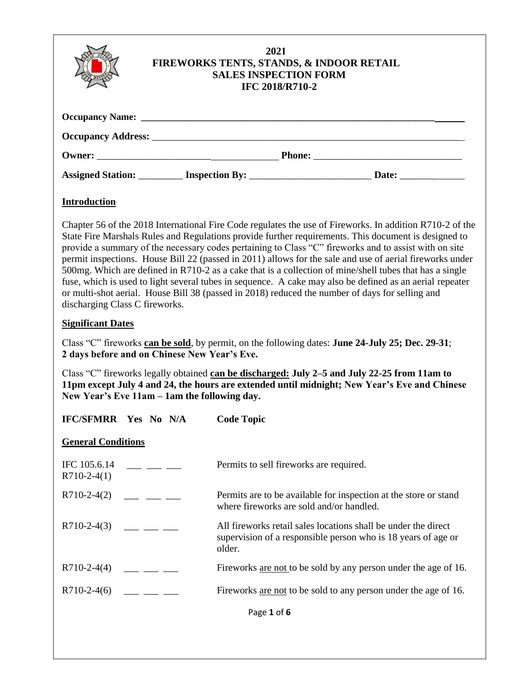|                     | FIREWORKS TENTS, STANDS, & INDOOR RETAIL | 2021<br><b>SALES INSPECTION FORM</b><br><b>IFC 2018/R710-2</b> |  |
|---------------------|------------------------------------------|----------------------------------------------------------------|--|
|                     |                                          |                                                                |  |
|                     |                                          |                                                                |  |
|                     |                                          |                                                                |  |
|                     |                                          |                                                                |  |
| <b>Introduction</b> |                                          |                                                                |  |

Chapter 56 of the 2018 International Fire Code regulates the use of Fireworks. In addition R710-2 of the State Fire Marshals Rules and Regulations provide further requirements. This document is designed to provide a summary of the necessary codes pertaining to Class "C" fireworks and to assist with on site permit inspections. House Bill 22 (passed in 2011) allows for the sale and use of aerial fireworks under 500mg. Which are defined in R710-2 as a cake that is a collection of mine/shell tubes that has a single fuse, which is used to light several tubes in sequence. A cake may also be defined as an aerial repeater or multi-shot aerial. House Bill 38 (passed in 2018) reduced the number of days for selling and discharging Class C fireworks.

## **Significant Dates**

Class "C" fireworks **can be sold**, by permit, on the following dates: **June 24-July 25; Dec. 29-31**; **2 days before and on Chinese New Year's Eve.**

Class "C" fireworks legally obtained **can be discharged: July 2–5 and July 22-25 from 11am to 11pm except July 4 and 24, the hours are extended until midnight; New Year's Eve and Chinese New Year's Eve 11am – 1am the following day.**

| <b>IFC/SFMRR Yes No N/A</b>   |  | <b>Code Topic</b>                                                                                                                         |
|-------------------------------|--|-------------------------------------------------------------------------------------------------------------------------------------------|
| <b>General Conditions</b>     |  |                                                                                                                                           |
| IFC 105.6.14<br>$R710-2-4(1)$ |  | Permits to sell fireworks are required.                                                                                                   |
| $R710-2-4(2)$                 |  | Permits are to be available for inspection at the store or stand<br>where fireworks are sold and/or handled.                              |
| $R710-2-4(3)$                 |  | All fireworks retail sales locations shall be under the direct<br>supervision of a responsible person who is 18 years of age or<br>older. |
| $R710-2-4(4)$                 |  | Fireworks are not to be sold by any person under the age of 16.                                                                           |
| $R710-2-4(6)$                 |  | Fireworks <u>are not</u> to be sold to any person under the age of 16.                                                                    |
|                               |  | Page 1 of 6                                                                                                                               |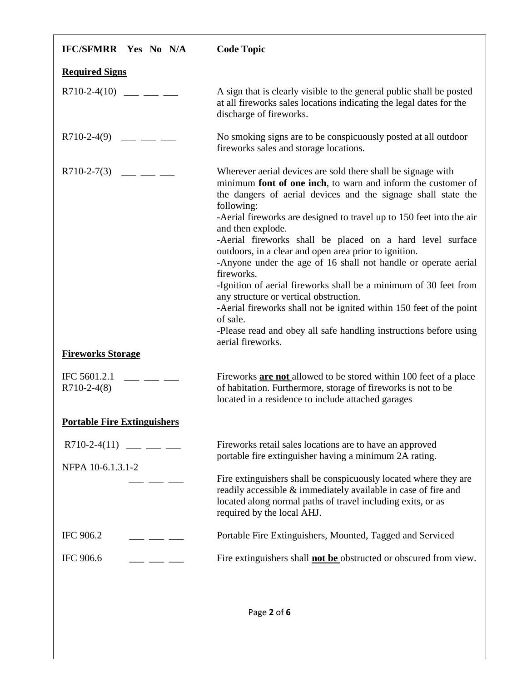| <b>IFC/SFMRR Yes No N/A</b>        | <b>Code Topic</b>                                                                                                                                                                                                                                                                                                                                                                                                                                                                                                                                                                                                                                                                                                                                                                                         |
|------------------------------------|-----------------------------------------------------------------------------------------------------------------------------------------------------------------------------------------------------------------------------------------------------------------------------------------------------------------------------------------------------------------------------------------------------------------------------------------------------------------------------------------------------------------------------------------------------------------------------------------------------------------------------------------------------------------------------------------------------------------------------------------------------------------------------------------------------------|
| <b>Required Signs</b>              |                                                                                                                                                                                                                                                                                                                                                                                                                                                                                                                                                                                                                                                                                                                                                                                                           |
| $R710-2-4(10)$ ___ __ __           | A sign that is clearly visible to the general public shall be posted<br>at all fireworks sales locations indicating the legal dates for the<br>discharge of fireworks.                                                                                                                                                                                                                                                                                                                                                                                                                                                                                                                                                                                                                                    |
| $R710-2-4(9)$ ___ __ __            | No smoking signs are to be conspicuously posted at all outdoor<br>fireworks sales and storage locations.                                                                                                                                                                                                                                                                                                                                                                                                                                                                                                                                                                                                                                                                                                  |
| $R710-2-7(3)$ ___ __ __            | Wherever aerial devices are sold there shall be signage with<br>minimum font of one inch, to warn and inform the customer of<br>the dangers of aerial devices and the signage shall state the<br>following:<br>-Aerial fireworks are designed to travel up to 150 feet into the air<br>and then explode.<br>-Aerial fireworks shall be placed on a hard level surface<br>outdoors, in a clear and open area prior to ignition.<br>-Anyone under the age of 16 shall not handle or operate aerial<br>fireworks.<br>-Ignition of aerial fireworks shall be a minimum of 30 feet from<br>any structure or vertical obstruction.<br>-Aerial fireworks shall not be ignited within 150 feet of the point<br>of sale.<br>-Please read and obey all safe handling instructions before using<br>aerial fireworks. |
| <b>Fireworks Storage</b>           |                                                                                                                                                                                                                                                                                                                                                                                                                                                                                                                                                                                                                                                                                                                                                                                                           |
| IFC 5601.2.1<br>$R710-2-4(8)$      | Fireworks <b>are not</b> allowed to be stored within 100 feet of a place<br>of habitation. Furthermore, storage of fireworks is not to be<br>located in a residence to include attached garages                                                                                                                                                                                                                                                                                                                                                                                                                                                                                                                                                                                                           |
| <b>Portable Fire Extinguishers</b> |                                                                                                                                                                                                                                                                                                                                                                                                                                                                                                                                                                                                                                                                                                                                                                                                           |
| $R710-2-4(11)$ ___ __ __           | Fireworks retail sales locations are to have an approved<br>portable fire extinguisher having a minimum 2A rating.                                                                                                                                                                                                                                                                                                                                                                                                                                                                                                                                                                                                                                                                                        |
| NFPA 10-6.1.3.1-2                  | Fire extinguishers shall be conspicuously located where they are<br>readily accessible & immediately available in case of fire and<br>located along normal paths of travel including exits, or as<br>required by the local AHJ.                                                                                                                                                                                                                                                                                                                                                                                                                                                                                                                                                                           |
| IFC 906.2                          | Portable Fire Extinguishers, Mounted, Tagged and Serviced                                                                                                                                                                                                                                                                                                                                                                                                                                                                                                                                                                                                                                                                                                                                                 |
| IFC 906.6                          | Fire extinguishers shall <b>not be</b> obstructed or obscured from view.                                                                                                                                                                                                                                                                                                                                                                                                                                                                                                                                                                                                                                                                                                                                  |
|                                    | Page 2 of 6                                                                                                                                                                                                                                                                                                                                                                                                                                                                                                                                                                                                                                                                                                                                                                                               |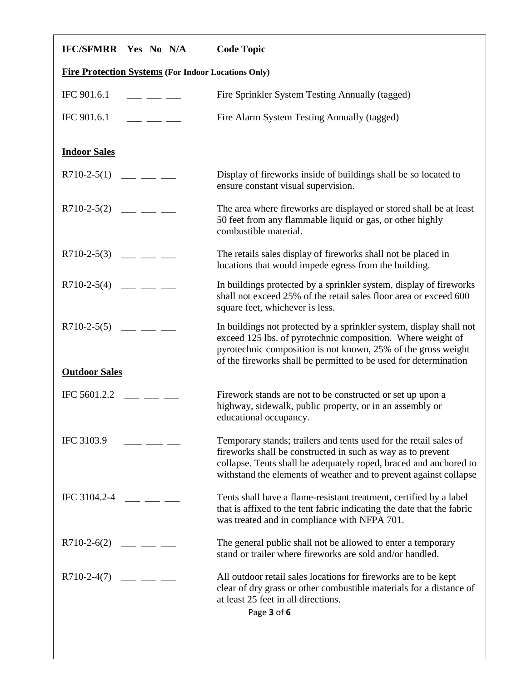| <b>IFC/SFMRR Yes No N/A</b>                                | <b>Code Topic</b>                                                                                                                                                                                                                                                          |  |
|------------------------------------------------------------|----------------------------------------------------------------------------------------------------------------------------------------------------------------------------------------------------------------------------------------------------------------------------|--|
| <b>Fire Protection Systems (For Indoor Locations Only)</b> |                                                                                                                                                                                                                                                                            |  |
| IFC 901.6.1                                                | Fire Sprinkler System Testing Annually (tagged)                                                                                                                                                                                                                            |  |
| IFC 901.6.1<br>$  -$                                       | Fire Alarm System Testing Annually (tagged)                                                                                                                                                                                                                                |  |
| <b>Indoor Sales</b>                                        |                                                                                                                                                                                                                                                                            |  |
| $R710-2-5(1)$ ___ __ __                                    | Display of fireworks inside of buildings shall be so located to<br>ensure constant visual supervision.                                                                                                                                                                     |  |
| $R710-2-5(2)$ ___ __ __                                    | The area where fireworks are displayed or stored shall be at least<br>50 feet from any flammable liquid or gas, or other highly<br>combustible material.                                                                                                                   |  |
| $R710-2-5(3)$ ___ __ __                                    | The retails sales display of fireworks shall not be placed in<br>locations that would impede egress from the building.                                                                                                                                                     |  |
| $R710-2-5(4)$ ___ __ __                                    | In buildings protected by a sprinkler system, display of fireworks<br>shall not exceed 25% of the retail sales floor area or exceed 600<br>square feet, whichever is less.                                                                                                 |  |
| $R710-2-5(5)$ ___ __ __                                    | In buildings not protected by a sprinkler system, display shall not<br>exceed 125 lbs. of pyrotechnic composition. Where weight of<br>pyrotechnic composition is not known, 25% of the gross weight<br>of the fireworks shall be permitted to be used for determination    |  |
| <b>Outdoor Sales</b>                                       |                                                                                                                                                                                                                                                                            |  |
| IFC 5601.2.2                                               | Firework stands are not to be constructed or set up upon a<br>highway, sidewalk, public property, or in an assembly or<br>educational occupancy.                                                                                                                           |  |
| IFC 3103.9                                                 | Temporary stands; trailers and tents used for the retail sales of<br>fireworks shall be constructed in such as way as to prevent<br>collapse. Tents shall be adequately roped, braced and anchored to<br>withstand the elements of weather and to prevent against collapse |  |
| IFC 3104.2-4                                               | Tents shall have a flame-resistant treatment, certified by a label<br>that is affixed to the tent fabric indicating the date that the fabric<br>was treated and in compliance with NFPA 701.                                                                               |  |
| $R710-2-6(2)$ ___ __ __                                    | The general public shall not be allowed to enter a temporary<br>stand or trailer where fireworks are sold and/or handled.                                                                                                                                                  |  |
| $R710-2-4(7)$                                              | All outdoor retail sales locations for fireworks are to be kept<br>clear of dry grass or other combustible materials for a distance of<br>at least 25 feet in all directions.<br>Page 3 of 6                                                                               |  |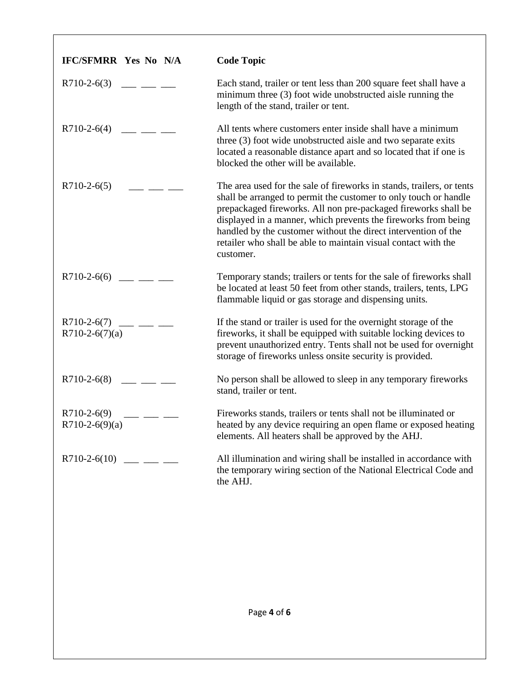| <b>IFC/SFMRR Yes No N/A</b>              | <b>Code Topic</b>                                                                                                                                                                                                                                                                                                                                                                                                              |
|------------------------------------------|--------------------------------------------------------------------------------------------------------------------------------------------------------------------------------------------------------------------------------------------------------------------------------------------------------------------------------------------------------------------------------------------------------------------------------|
| $R710-2-6(3)$                            | Each stand, trailer or tent less than 200 square feet shall have a<br>minimum three (3) foot wide unobstructed aisle running the<br>length of the stand, trailer or tent.                                                                                                                                                                                                                                                      |
| $R710-2-6(4)$<br><u> Lindje von de s</u> | All tents where customers enter inside shall have a minimum<br>three (3) foot wide unobstructed aisle and two separate exits<br>located a reasonable distance apart and so located that if one is<br>blocked the other will be available.                                                                                                                                                                                      |
| $R710-2-6(5)$                            | The area used for the sale of fireworks in stands, trailers, or tents<br>shall be arranged to permit the customer to only touch or handle<br>prepackaged fireworks. All non pre-packaged fireworks shall be<br>displayed in a manner, which prevents the fireworks from being<br>handled by the customer without the direct intervention of the<br>retailer who shall be able to maintain visual contact with the<br>customer. |
| $R710-2-6(6)$ ___ __ __                  | Temporary stands; trailers or tents for the sale of fireworks shall<br>be located at least 50 feet from other stands, trailers, tents, LPG<br>flammable liquid or gas storage and dispensing units.                                                                                                                                                                                                                            |
| $R710-2-6(7)$<br>$R710-2-6(7)(a)$        | If the stand or trailer is used for the overnight storage of the<br>fireworks, it shall be equipped with suitable locking devices to<br>prevent unauthorized entry. Tents shall not be used for overnight<br>storage of fireworks unless onsite security is provided.                                                                                                                                                          |
| $R710-2-6(8)$                            | No person shall be allowed to sleep in any temporary fireworks<br>stand, trailer or tent.                                                                                                                                                                                                                                                                                                                                      |
| $R710-2-6(9)$<br>$R710-2-6(9)(a)$        | Fireworks stands, trailers or tents shall not be illuminated or<br>heated by any device requiring an open flame or exposed heating<br>elements. All heaters shall be approved by the AHJ.                                                                                                                                                                                                                                      |
| $R710-2-6(10)$ ___ __ __                 | All illumination and wiring shall be installed in accordance with<br>the temporary wiring section of the National Electrical Code and<br>the AHJ.                                                                                                                                                                                                                                                                              |
|                                          |                                                                                                                                                                                                                                                                                                                                                                                                                                |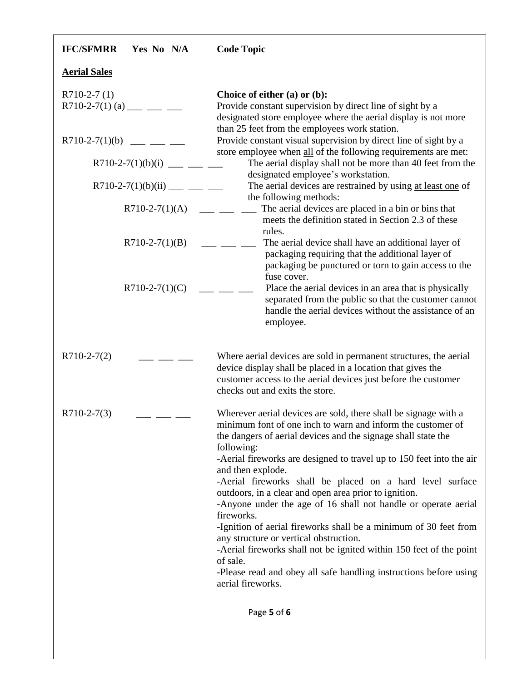| <b>IFC/SFMRR</b><br>Yes No N/A             | <b>Code Topic</b>                                                                                                                                                                                                                                                                                                                                                                                                                                                                                                                                                                                                                                                                                                                                                                                           |  |
|--------------------------------------------|-------------------------------------------------------------------------------------------------------------------------------------------------------------------------------------------------------------------------------------------------------------------------------------------------------------------------------------------------------------------------------------------------------------------------------------------------------------------------------------------------------------------------------------------------------------------------------------------------------------------------------------------------------------------------------------------------------------------------------------------------------------------------------------------------------------|--|
| <b>Aerial Sales</b>                        |                                                                                                                                                                                                                                                                                                                                                                                                                                                                                                                                                                                                                                                                                                                                                                                                             |  |
| $R710-2-7(1)$<br>R710-2-7(1) (a) ___ __ __ | Choice of either (a) or (b):<br>Provide constant supervision by direct line of sight by a<br>designated store employee where the aerial display is not more                                                                                                                                                                                                                                                                                                                                                                                                                                                                                                                                                                                                                                                 |  |
| $R710-2-7(1)(b)$ ___ __ __                 | than 25 feet from the employees work station.<br>Provide constant visual supervision by direct line of sight by a<br>store employee when all of the following requirements are met:                                                                                                                                                                                                                                                                                                                                                                                                                                                                                                                                                                                                                         |  |
| R710-2-7(1)(b)(i) ___ __ __                | The aerial display shall not be more than 40 feet from the<br>designated employee's workstation.                                                                                                                                                                                                                                                                                                                                                                                                                                                                                                                                                                                                                                                                                                            |  |
| R710-2-7(1)(b)(ii) ___ __ __               | The aerial devices are restrained by using at least one of                                                                                                                                                                                                                                                                                                                                                                                                                                                                                                                                                                                                                                                                                                                                                  |  |
| $R710-2-7(1)(A)$                           | the following methods:<br>The aerial devices are placed in a bin or bins that<br>meets the definition stated in Section 2.3 of these                                                                                                                                                                                                                                                                                                                                                                                                                                                                                                                                                                                                                                                                        |  |
| $R710-2-7(1)(B)$                           | rules.<br>The aerial device shall have an additional layer of<br>packaging requiring that the additional layer of<br>packaging be punctured or torn to gain access to the                                                                                                                                                                                                                                                                                                                                                                                                                                                                                                                                                                                                                                   |  |
| $R710-2-7(1)(C)$                           | fuse cover.<br>Place the aerial devices in an area that is physically<br>separated from the public so that the customer cannot<br>handle the aerial devices without the assistance of an<br>employee.                                                                                                                                                                                                                                                                                                                                                                                                                                                                                                                                                                                                       |  |
| $R710-2-7(2)$                              | Where aerial devices are sold in permanent structures, the aerial<br>device display shall be placed in a location that gives the<br>customer access to the aerial devices just before the customer<br>checks out and exits the store.                                                                                                                                                                                                                                                                                                                                                                                                                                                                                                                                                                       |  |
| $R710-2-7(3)$                              | Wherever aerial devices are sold, there shall be signage with a<br>minimum font of one inch to warn and inform the customer of<br>the dangers of aerial devices and the signage shall state the<br>following:<br>-Aerial fireworks are designed to travel up to 150 feet into the air<br>and then explode.<br>-Aerial fireworks shall be placed on a hard level surface<br>outdoors, in a clear and open area prior to ignition.<br>-Anyone under the age of 16 shall not handle or operate aerial<br>fireworks.<br>-Ignition of aerial fireworks shall be a minimum of 30 feet from<br>any structure or vertical obstruction.<br>-Aerial fireworks shall not be ignited within 150 feet of the point<br>of sale.<br>-Please read and obey all safe handling instructions before using<br>aerial fireworks. |  |
|                                            | Page 5 of 6                                                                                                                                                                                                                                                                                                                                                                                                                                                                                                                                                                                                                                                                                                                                                                                                 |  |